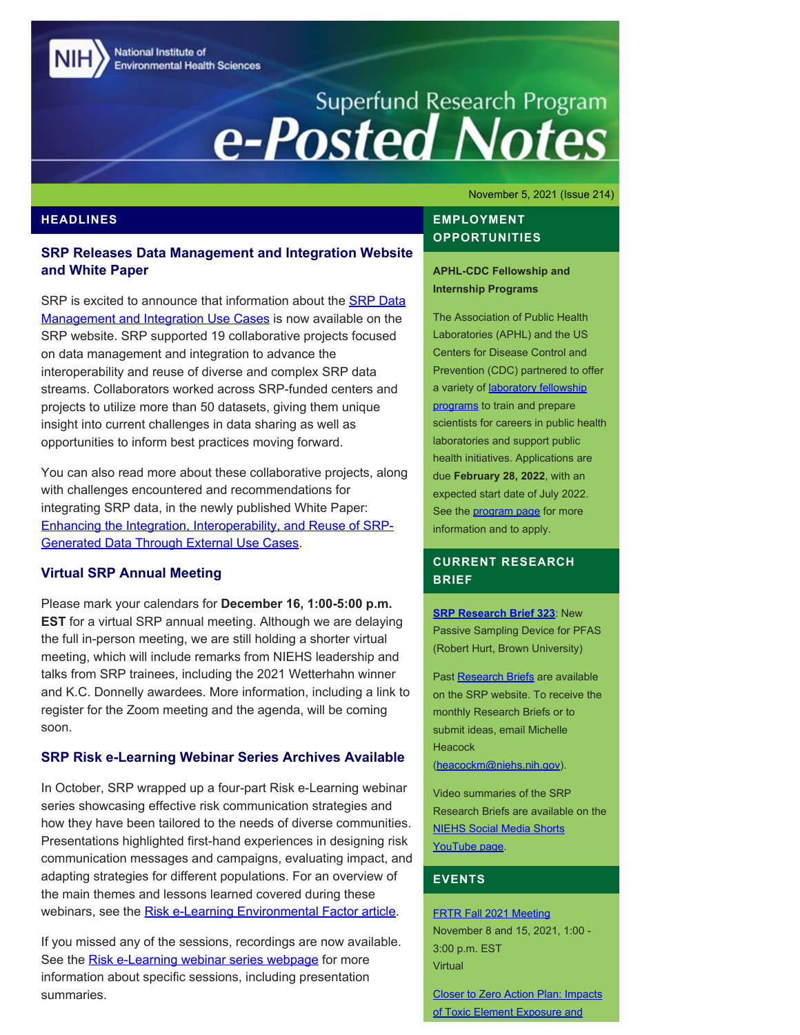National Institute of **Environmental Health Sciences** 

# Superfund Research Program<br> **e-Posted Notes**

#### November 5, 2021 (Issue 214)

#### **HEADLINES**

## **SRP Releases Data Management and Integration Website and White Paper**

SRP is excited to announce that information about the [SRP Data](https://www.niehs.nih.gov/research/supported/centers/srp/datasets/euc/index.cfm) [Management and Integration Use Cases](https://www.niehs.nih.gov/research/supported/centers/srp/datasets/euc/index.cfm) is now available on the SRP website. SRP supported 19 collaborative projects focused on data management and integration to advance the interoperability and reuse of diverse and complex SRP data streams. Collaborators worked across SRP-funded centers and projects to utilize more than 50 datasets, giving them unique insight into current challenges in data sharing as well as opportunities to inform best practices moving forward.

You can also read more about these collaborative projects, along with challenges encountered and recommendations for integrating SRP data, in the newly published White Paper: [Enhancing the Integration, Interoperability, and Reuse of SRP-](https://www.niehs.nih.gov/research/supported/centers/srp/assets/docs/srp_euc_white_paper.pdf)[Generated Data Through External Use Cases.](https://www.niehs.nih.gov/research/supported/centers/srp/assets/docs/srp_euc_white_paper.pdf)

#### **Virtual SRP Annual Meeting**

Please mark your calendars for **December 16, 1:00-5:00 p.m. EST** for a virtual SRP annual meeting. Although we are delaying the full in-person meeting, we are still holding a shorter virtual meeting, which will include remarks from NIEHS leadership and talks from SRP trainees, including the 2021 Wetterhahn winner and K.C. Donnelly awardees. More information, including a link to register for the Zoom meeting and the agenda, will be coming soon.

#### **SRP Risk e-Learning Webinar Series Archives Available**

In October, SRP wrapped up a four-part Risk e-Learning webinar series showcasing effective risk communication strategies and how they have been tailored to the needs of diverse communities. Presentations highlighted first-hand experiences in designing risk communication messages and campaigns, evaluating impact, and adapting strategies for different populations. For an overview of the main themes and lessons learned covered during these webinars, see the [Risk e-Learning Environmental Factor article](https://factor.niehs.nih.gov/2021/11/community-impact/science-communication/index.htm).

If you missed any of the sessions, recordings are now available. See the [Risk e-Learning webinar series webpage](https://www.niehs.nih.gov/research/supported/centers/srp/events/riskelearning/reduce_exposures/index.cfm) for more information about specific sessions, including presentation summaries.

## **EMPLOYMENT OPPORTUNITIES**

**APHL-CDC Fellowship and Internship Programs** 

The Association of Public Health Laboratories (APHL) and the US Centers for Disease Control and Prevention (CDC) partnered to offer a variety of [laboratory fellowship](https://www.aphl.org/fellowships/Documents/APHL-Fellowships-Overview-Flyer.pdf) [programs](https://www.aphl.org/fellowships/Documents/APHL-Fellowships-Overview-Flyer.pdf) to train and prepare scientists for careers in public health laboratories and support public health initiatives. Applications are due **February 28, 2022**, with an expected start date of July 2022. See the **program page** for more information and to apply.

## **CURRENT RESEARCH BRIEF**

**[SRP Research Brief 323](https://tools.niehs.nih.gov/srp/researchbriefs/view.cfm?Brief_ID=323)**: New Passive Sampling Device for PFAS (Robert Hurt, Brown University)

Past [Research Briefs](http://tools.niehs.nih.gov/srp/researchbriefs/index.cfm) are available on the SRP website. To receive the monthly Research Briefs or to submit ideas, email Michelle **Heacock** [\(heacockm@niehs.nih.gov\)](mailto:heacockm@niehs.nih.gov).

Video summaries of the SRP Research Briefs are available on the [NIEHS Social Media Shorts](https://www.youtube.com/playlist?list=PLlo0xQLFI54GlGBHIWb3va3YrKAv16SZ8)  [YouTube page.](https://www.youtube.com/playlist?list=PLlo0xQLFI54GlGBHIWb3va3YrKAv16SZ8)

## **EVENTS**

#### [FRTR Fall 2021 Meeting](https://clu-in.org/conf/tio/FRTRFall21/)

November 8 and 15, 2021, 1:00 - 3:00 p.m. EST Virtual

[Closer to Zero Action Plan: Impacts](https://www.fda.gov/food/workshops-meetings-webinars-food-and-dietary-supplements/closer-zero-action-plan-impacts-toxic-element-exposure-and-nutrition-different-crucial-developmental)  [of Toxic Element Exposure and](https://www.fda.gov/food/workshops-meetings-webinars-food-and-dietary-supplements/closer-zero-action-plan-impacts-toxic-element-exposure-and-nutrition-different-crucial-developmental)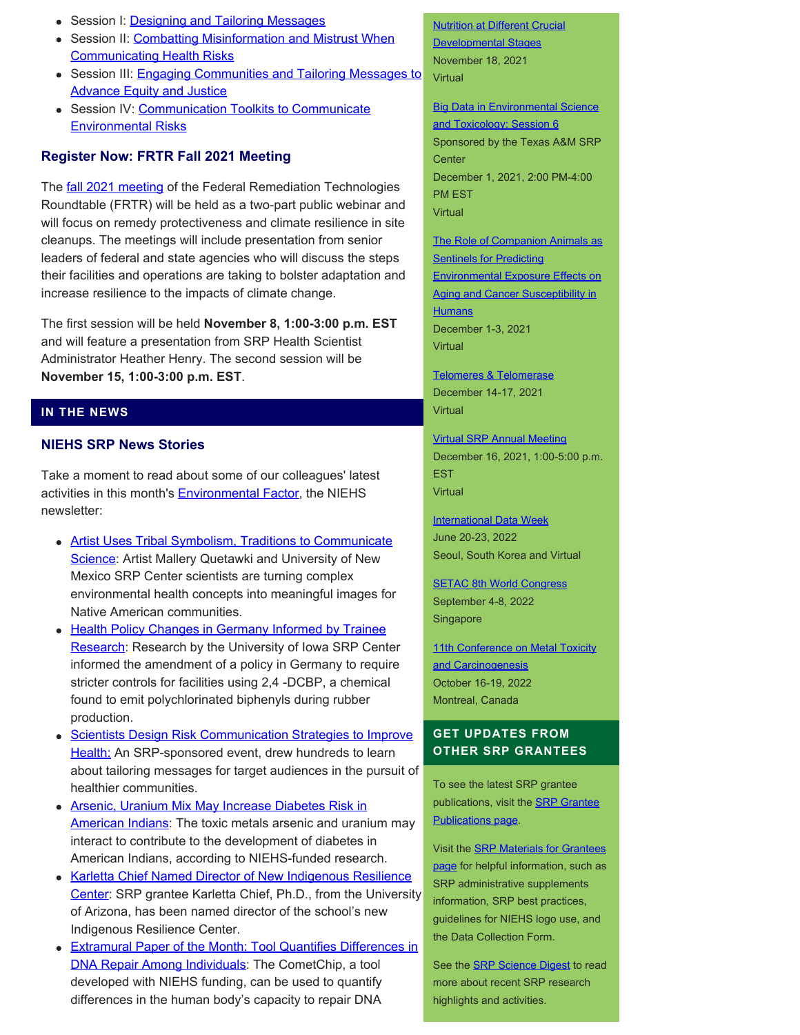- Session I: [Designing and Tailoring Messages](https://clu-in.org/conf/tio/SRPREIH1/)
- Session II: [Combatting Misinformation and Mistrust When](https://clu-in.org/conf/tio/SRPREIH2/) [Communicating Health Risks](https://clu-in.org/conf/tio/SRPREIH2/)
- Session III: [Engaging Communities and Tailoring Messages to](https://clu-in.org/conf/tio/SRPREIH3/) **[Advance Equity and Justice](https://clu-in.org/conf/tio/SRPREIH3/)**
- Session IV: [Communication Toolkits to Communicate](https://clu-in.org/conf/tio/SRPREIH4/) [Environmental Risks](https://clu-in.org/conf/tio/SRPREIH4/)

# **Register Now: FRTR Fall 2021 Meeting**

The **fall 2021 meeting of the Federal Remediation Technologies** Roundtable (FRTR) will be held as a two-part public webinar and will focus on remedy protectiveness and climate resilience in site cleanups. The meetings will include presentation from senior leaders of federal and state agencies who will discuss the steps their facilities and operations are taking to bolster adaptation and increase resilience to the impacts of climate change.

The first session will be held **November 8, 1:00-3:00 p.m. EST**  and will feature a presentation from SRP Health Scientist Administrator Heather Henry. The second session will be **November 15, 1:00-3:00 p.m. EST**.

# **IN THE NEWS**

# **NIEHS SRP News Stories**

Take a moment to read about some of our colleagues' latest activities in this month's **Environmental Factor**, the NIEHS newsletter:

- [Artist Uses Tribal Symbolism, Traditions to Communicate](https://factor.niehs.nih.gov/2021/11/beyond-the-bench/scientific-art/index.htm) [Science:](https://factor.niehs.nih.gov/2021/11/beyond-the-bench/scientific-art/index.htm) Artist Mallery Quetawki and University of New Mexico SRP Center scientists are turning complex environmental health concepts into meaningful images for Native American communities.
- [Health Policy Changes in Germany Informed by Trainee](https://factor.niehs.nih.gov/2021/11/community-impact/pcb-research/index.htm)  [Research](https://factor.niehs.nih.gov/2021/11/community-impact/pcb-research/index.htm): Research by the University of Iowa SRP Center informed the amendment of a policy in Germany to require stricter controls for facilities using 2,4 -DCBP, a chemical found to emit polychlorinated biphenyls during rubber production.
- [Scientists Design Risk Communication Strategies to Improve](https://factor.niehs.nih.gov/2021/11/community-impact/science-communication/index.htm) [Health:](https://factor.niehs.nih.gov/2021/11/community-impact/science-communication/index.htm) An SRP-sponsored event, drew hundreds to learn about tailoring messages for target audiences in the pursuit of healthier communities.
- [Arsenic, Uranium Mix May Increase Diabetes Risk in](https://factor.niehs.nih.gov/2021/11/papers/toxic-metals/index.htm) [American Indians](https://factor.niehs.nih.gov/2021/11/papers/toxic-metals/index.htm): The toxic metals arsenic and uranium may interact to contribute to the development of diabetes in American Indians, according to NIEHS-funded research.
- [Karletta Chief Named Director of New Indigenous Resilience](https://factor.niehs.nih.gov/2021/11/community-impact/karletta-chief/index.htm) [Center](https://factor.niehs.nih.gov/2021/11/community-impact/karletta-chief/index.htm): SRP grantee Karletta Chief, Ph.D., from the University of Arizona, has been named director of the school's new Indigenous Resilience Center.
- [Extramural Paper of the Month: Tool Quantifies Differences in](https://factor.niehs.nih.gov/2021/11/papers/dert/index.htm#a2) [DNA Repair Among Individuals](https://factor.niehs.nih.gov/2021/11/papers/dert/index.htm#a2): The CometChip, a tool developed with NIEHS funding, can be used to quantify differences in the human body's capacity to repair DNA

**Nutrition at Different Crucial** [Developmental Stages](https://www.fda.gov/food/workshops-meetings-webinars-food-and-dietary-supplements/closer-zero-action-plan-impacts-toxic-element-exposure-and-nutrition-different-crucial-developmental)  November 18, 2021

Virtual

**Big Data in Environmental Science** [and Toxicology: Session 6](https://superfund.tamu.edu/big-data-session-6-dec-1-2021/) 

Sponsored by the Texas A&M SRP **Center** December 1, 2021, 2:00 PM-4:00 PM EST **Virtual** 

[The Role of Companion Animals as](https://www.nationalacademies.org/our-work/the-role-of-companion-animals-as-sentinels-for-predicting-environmental-exposure-effects-on-aging-and-cancer-susceptibility-in-humans-a-workshop)  **Sentinels for Predicting** [Environmental Exposure Effects on](https://www.nationalacademies.org/our-work/the-role-of-companion-animals-as-sentinels-for-predicting-environmental-exposure-effects-on-aging-and-cancer-susceptibility-in-humans-a-workshop) [Aging and Cancer Susceptibility in](https://www.nationalacademies.org/our-work/the-role-of-companion-animals-as-sentinels-for-predicting-environmental-exposure-effects-on-aging-and-cancer-susceptibility-in-humans-a-workshop)  **[Humans](https://www.nationalacademies.org/our-work/the-role-of-companion-animals-as-sentinels-for-predicting-environmental-exposure-effects-on-aging-and-cancer-susceptibility-in-humans-a-workshop)** December 1-3, 2021 **Virtual** 

[Telomeres & Telomerase](https://meetings.cshl.edu/meetings.aspx?meet=telo&year=21) December 14-17, 2021 Virtual

[Virtual SRP Annual Meeting](https://www.niehs.nih.gov/research/supported/centers/srp/events/srp_annual_mtgs/)  December 16, 2021, 1:00-5:00 p.m. **EST Virtual** 

**International Data Week** June 20-23, 2022 Seoul, South Korea and Virtual

**[SETAC 8th World Congress](https://singapore.setac.org/)** September 4-8, 2022 Singapore

11th Conference on Metal Toxicity [and Carcinogenesis](https://www.fourwav.es/view/1725/info/)  October 16-19, 2022 Montreal, Canada

# **GET UPDATES FROM OTHER SRP GRANTEES**

To see the latest SRP grantee publications, visit the **SRP Grantee** [Publications page.](https://tools.niehs.nih.gov/srp/publications/granteepublications.cfm)

Visit the [SRP Materials for Grantees](https://www.niehs.nih.gov/research/supported/centers/srp/resources/index.cfm) [page](https://www.niehs.nih.gov/research/supported/centers/srp/resources/index.cfm) for helpful information, such as SRP administrative supplements information, SRP best practices, guidelines for NIEHS logo use, and the Data Collection Form.

See the **SRP Science Digest** to read more about recent SRP research highlights and activities.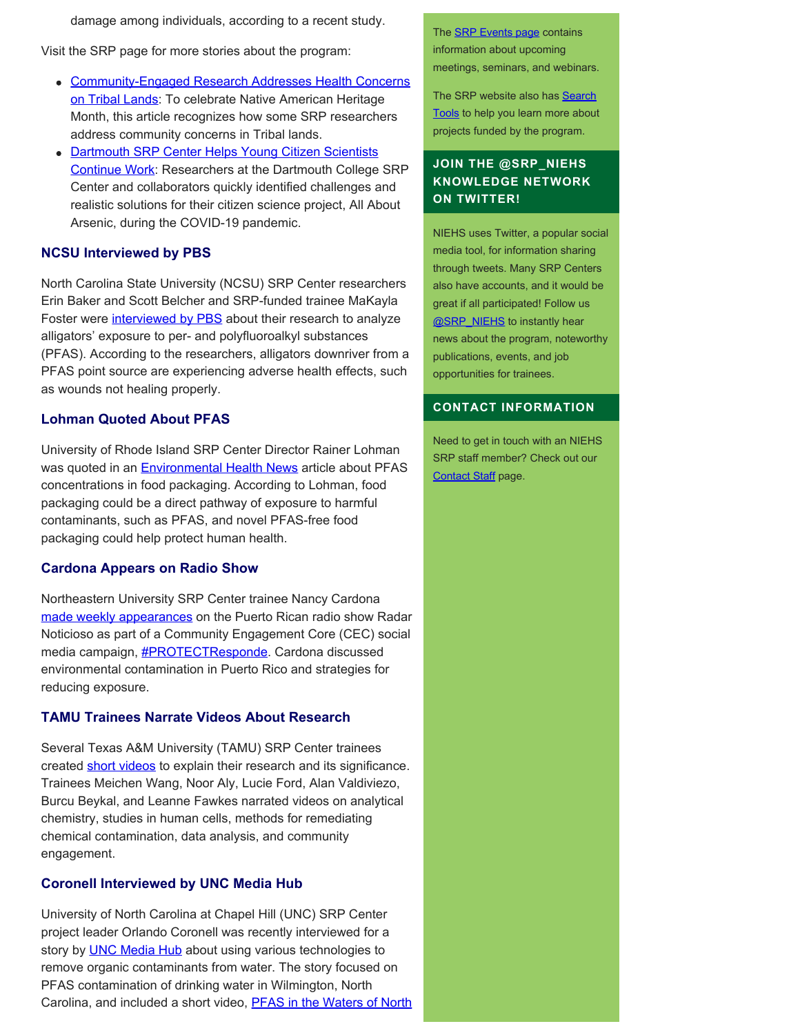damage among individuals, according to a recent study.

Visit the SRP page for more stories about the program:

- [Community-Engaged Research Addresses Health Concerns](https://www.niehs.nih.gov/research/supported/centers/srp/news/2021news/tribal_work/index.cfm) [on Tribal Lands](https://www.niehs.nih.gov/research/supported/centers/srp/news/2021news/tribal_work/index.cfm): To celebrate Native American Heritage Month, this article recognizes how some SRP researchers address community concerns in Tribal lands.
- [Dartmouth SRP Center Helps Young Citizen Scientists](https://www.niehs.nih.gov/research/supported/centers/srp/news/2021news/dartmouth_arsenic/index.cfm)  [Continue Work](https://www.niehs.nih.gov/research/supported/centers/srp/news/2021news/dartmouth_arsenic/index.cfm): Researchers at the Dartmouth College SRP Center and collaborators quickly identified challenges and realistic solutions for their citizen science project, All About Arsenic, during the COVID-19 pandemic.

#### **NCSU Interviewed by PBS**

North Carolina State University (NCSU) SRP Center researchers Erin Baker and Scott Belcher and SRP-funded trainee MaKayla Foster were *[interviewed by PBS](https://www.youtube.com/watch?v=nei-dQ9S98s)* about their research to analyze alligators' exposure to per- and polyfluoroalkyl substances (PFAS). According to the researchers, alligators downriver from a PFAS point source are experiencing adverse health effects, such as wounds not healing properly.

#### **Lohman Quoted About PFAS**

University of Rhode Island SRP Center Director Rainer Lohman was quoted in an **Environmental Health News** article about PFAS concentrations in food packaging. According to Lohman, food packaging could be a direct pathway of exposure to harmful contaminants, such as PFAS, and novel PFAS-free food packaging could help protect human health.

#### **Cardona Appears on Radio Show**

Northeastern University SRP Center trainee Nancy Cardona [made weekly appearances](https://web.northeastern.edu/protect/protect-researcher-dr-nancy-cardona-to-appear-on-weekly-radio-show/) on the Puerto Rican radio show Radar Noticioso as part of a Community Engagement Core (CEC) social media campaign, **#PROTECTResponde**. Cardona discussed environmental contamination in Puerto Rico and strategies for reducing exposure.

#### **TAMU Trainees Narrate Videos About Research**

Several Texas A&M University (TAMU) SRP Center trainees created [short videos](https://superfund.tamu.edu/about-us/meet-our-trainees/) to explain their research and its significance. Trainees Meichen Wang, Noor Aly, Lucie Ford, Alan Valdiviezo, Burcu Beykal, and Leanne Fawkes narrated videos on analytical chemistry, studies in human cells, methods for remediating chemical contamination, data analysis, and community engagement.

#### **Coronell Interviewed by UNC Media Hub**

University of North Carolina at Chapel Hill (UNC) SRP Center project leader Orlando Coronell was recently interviewed for a story by **UNC Media Hub** about using various technologies to remove organic contaminants from water. The story focused on PFAS contamination of drinking water in Wilmington, North Carolina, and included a short video, **PFAS in the Waters of North** 

The **SRP Events page** contains information about upcoming meetings, seminars, and webinars.

The SRP website also has [Search](http://tools.niehs.nih.gov/srp/search/index.cfm)  [Tools](http://tools.niehs.nih.gov/srp/search/index.cfm) to help you learn more about projects funded by the program.

## **JOIN THE @SRP\_NIEHS KNOWLEDGE NETWORK ON TWITTER!**

NIEHS uses Twitter, a popular social media tool, for information sharing through tweets. Many SRP Centers also have accounts, and it would be great if all participated! Follow us [@SRP\\_NIEHS](https://twitter.com/SRP_NIEHS) to instantly hear news about the program, noteworthy publications, events, and job opportunities for trainees.

#### **CONTACT INFORMATION**

Need to get in touch with an NIEHS SRP staff member? Check out our [Contact Staff](https://www.niehs.nih.gov/research/supported/centers/srp/about/contact_us/index.cfm) page.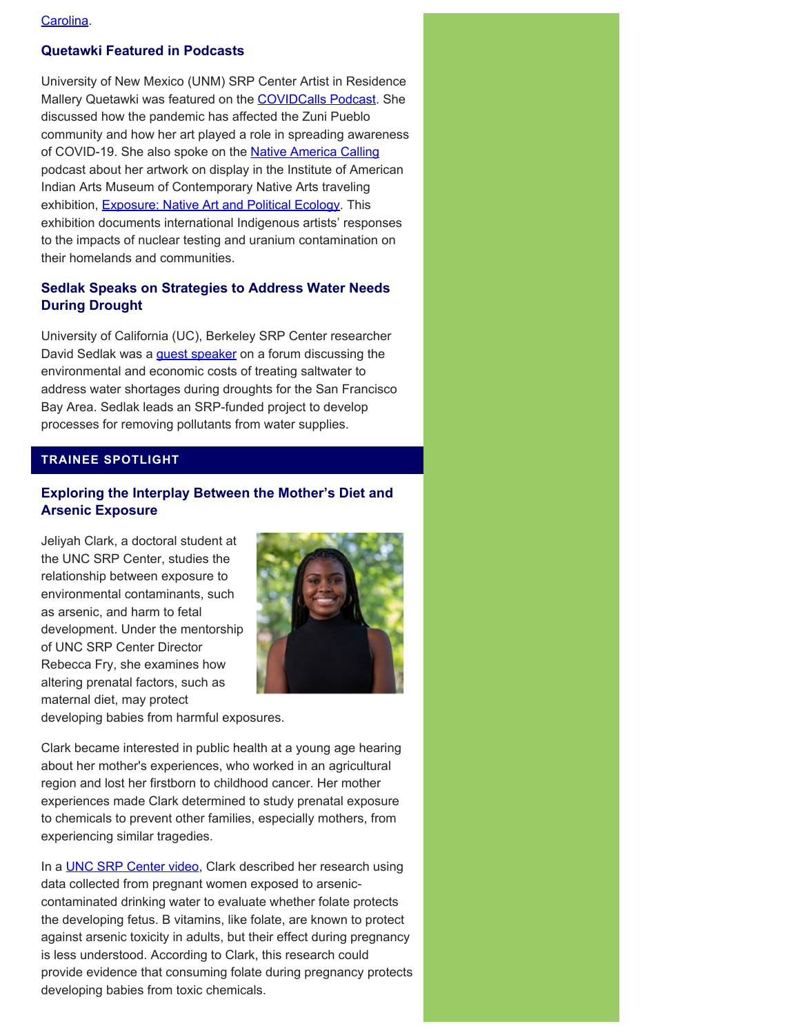## **Quetawki Featured in Podcasts**

University of New Mexico (UNM) SRP Center Artist in Residence Mallery Quetawki was featured on the [COVIDCalls Podcast](https://covidcalls.podbean.com/e/ep-275-05122021-covid-19-in-zuni-pubelo/). She discussed how the pandemic has affected the Zuni Pueblo community and how her art played a role in spreading awareness of COVID-19. She also spoke on the [Native America Calling](https://nativeamericacalling.com/friday-september-10-2021-exposure-art-exhibit-voices-nuclear-frustrations/) podcast about her artwork on display in the Institute of American Indian Arts Museum of Contemporary Native Arts traveling exhibition, **Exposure: Native Art and Political Ecology**. This exhibition documents international Indigenous artists' responses to the impacts of nuclear testing and uranium contamination on their homelands and communities.

## **Sedlak Speaks on Strategies to Address Water Needs During Drought**

University of California (UC), Berkeley SRP Center researcher David Sedlak was a *quest speaker* on a forum discussing the environmental and economic costs of treating saltwater to address water shortages during droughts for the San Francisco Bay Area. Sedlak leads an SRP-funded project to develop processes for removing pollutants from water supplies.

## **TRAINEE SPOTLIGHT**

## **Exploring the Interplay Between the Mother's Diet and Arsenic Exposure**

Jeliyah Clark, a doctoral student at the UNC SRP Center, studies the relationship between exposure to environmental contaminants, such as arsenic, and harm to fetal development. Under the mentorship of UNC SRP Center Director Rebecca Fry, she examines how altering prenatal factors, such as maternal diet, may protect



developing babies from harmful exposures.

Clark became interested in public health at a young age hearing about her mother's experiences, who worked in an agricultural region and lost her firstborn to childhood cancer. Her mother experiences made Clark determined to study prenatal exposure to chemicals to prevent other families, especially mothers, from experiencing similar tragedies.

In a **UNC SRP Center video**, Clark described her research using data collected from pregnant women exposed to arseniccontaminated drinking water to evaluate whether folate protects the developing fetus. B vitamins, like folate, are known to protect against arsenic toxicity in adults, but their effect during pregnancy is less understood. According to Clark, this research could provide evidence that consuming folate during pregnancy protects developing babies from toxic chemicals.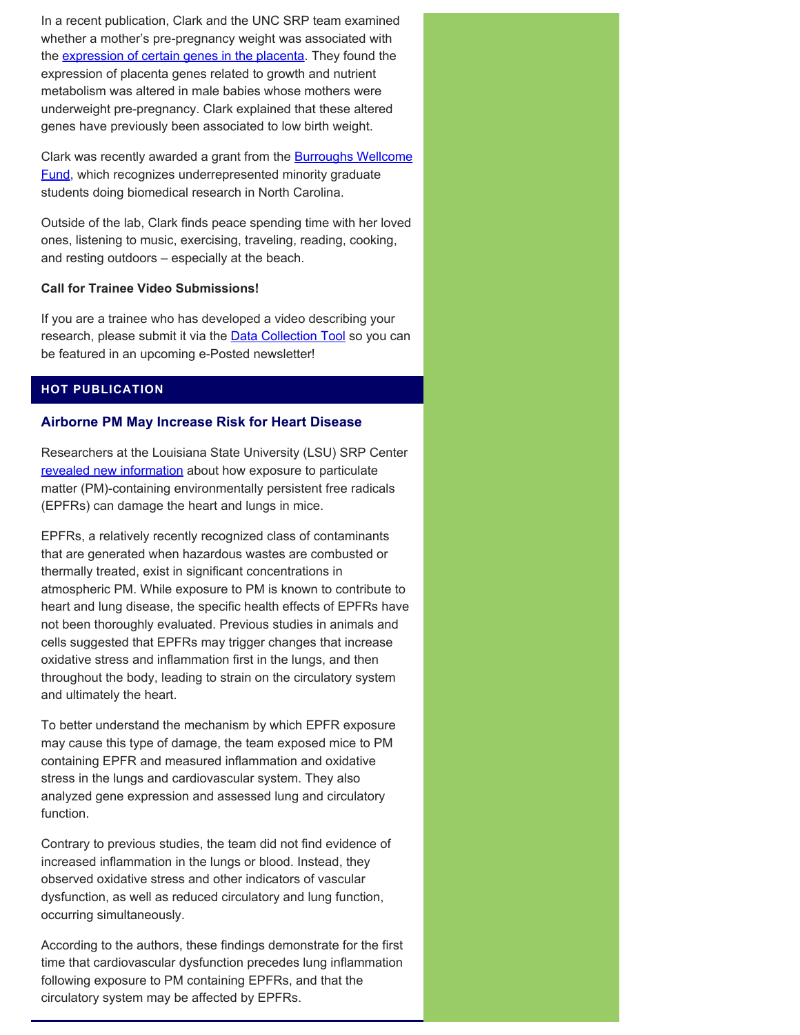In a recent publication, Clark and the UNC SRP team examined whether a mother's pre-pregnancy weight was associated with the [expression of certain genes in the placenta](https://pubmed.ncbi.nlm.nih.gov/34344912/). They found the expression of placenta genes related to growth and nutrient metabolism was altered in male babies whose mothers were underweight pre-pregnancy. Clark explained that these altered genes have previously been associated to low birth weight.

Clark was recently awarded a grant from the **Burroughs Wellcome [Fund,](https://www.bwfund.org/news/bwf-recognizes-outstanding-north-carolina-stem-scholars/) which recognizes underrepresented minority graduate** students doing biomedical research in North Carolina.

Outside of the lab, Clark finds peace spending time with her loved ones, listening to music, exercising, traveling, reading, cooking, and resting outdoors – especially at the beach.

#### **Call for Trainee Video Submissions!**

If you are a trainee who has developed a video describing your research, please submit it via the **Data Collection Tool** so you can be featured in an upcoming e-Posted newsletter!

## **HOT PUBLICATION**

#### **Airborne PM May Increase Risk for Heart Disease**

Researchers at the Louisiana State University (LSU) SRP Center [revealed new information](https://pubmed.ncbi.nlm.nih.gov/34415187/) about how exposure to particulate matter (PM)-containing environmentally persistent free radicals (EPFRs) can damage the heart and lungs in mice.

EPFRs, a relatively recently recognized class of contaminants that are generated when hazardous wastes are combusted or thermally treated, exist in significant concentrations in atmospheric PM. While exposure to PM is known to contribute to heart and lung disease, the specific health effects of EPFRs have not been thoroughly evaluated. Previous studies in animals and cells suggested that EPFRs may trigger changes that increase oxidative stress and inflammation first in the lungs, and then throughout the body, leading to strain on the circulatory system and ultimately the heart.

To better understand the mechanism by which EPFR exposure may cause this type of damage, the team exposed mice to PM containing EPFR and measured inflammation and oxidative stress in the lungs and cardiovascular system. They also analyzed gene expression and assessed lung and circulatory function.

Contrary to previous studies, the team did not find evidence of increased inflammation in the lungs or blood. Instead, they observed oxidative stress and other indicators of vascular dysfunction, as well as reduced circulatory and lung function, occurring simultaneously.

According to the authors, these findings demonstrate for the first time that cardiovascular dysfunction precedes lung inflammation following exposure to PM containing EPFRs, and that the circulatory system may be affected by EPFRs.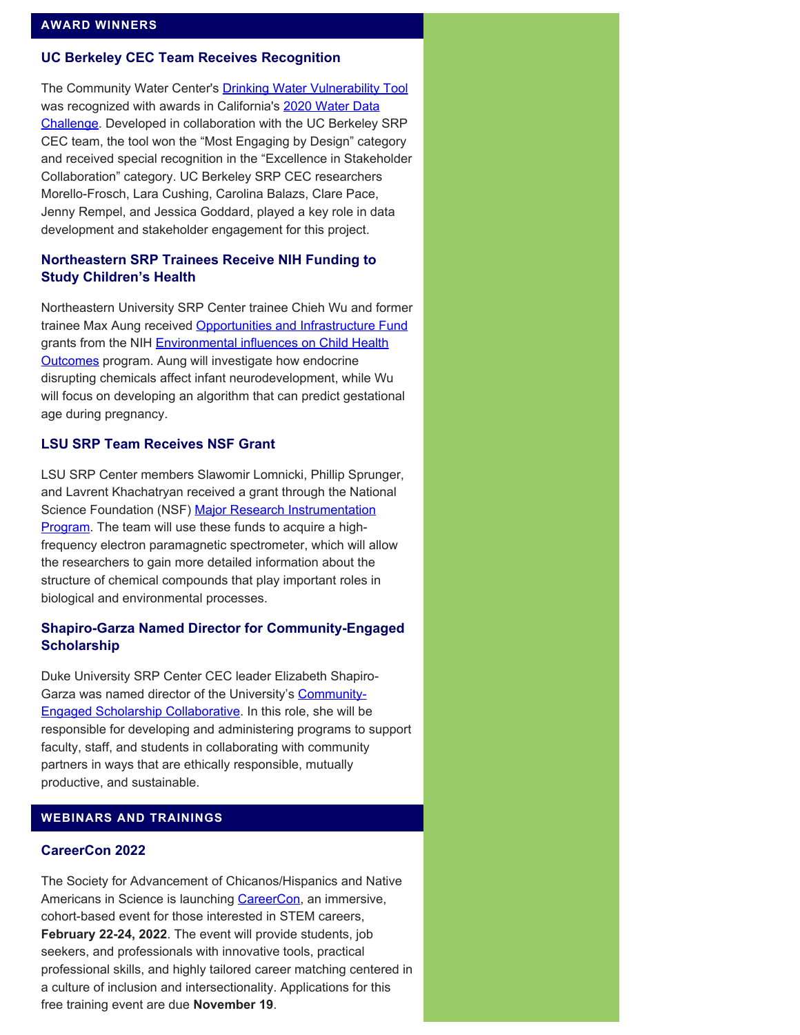#### **UC Berkeley CEC Team Receives Recognition**

The Community Water Center's **Drinking Water Vulnerability Tool** was recognized with awards in California's [2020 Water Data](https://waterchallenge.data.ca.gov/)  [Challenge.](https://waterchallenge.data.ca.gov/) Developed in collaboration with the UC Berkeley SRP CEC team, the tool won the "Most Engaging by Design" category and received special recognition in the "Excellence in Stakeholder Collaboration" category. UC Berkeley SRP CEC researchers Morello-Frosch, Lara Cushing, Carolina Balazs, Clare Pace, Jenny Rempel, and Jessica Goddard, played a key role in data development and stakeholder engagement for this project.

## **Northeastern SRP Trainees Receive NIH Funding to Study Children's Health**

Northeastern University SRP Center trainee Chieh Wu and former trainee Max Aung received [Opportunities and Infrastructure Fund](https://web.northeastern.edu/protect/current-and-former-protect-postdocs-receive-echo-oif-awards/) grants from the NIH **Environmental influences on Child Health** [Outcomes](https://www.nih.gov/research-training/environmental-influences-child-health-outcomes-echo-program) program. Aung will investigate how endocrine disrupting chemicals affect infant neurodevelopment, while Wu will focus on developing an algorithm that can predict gestational age during pregnancy.

#### **LSU SRP Team Receives NSF Grant**

LSU SRP Center members Slawomir Lomnicki, Phillip Sprunger, and Lavrent Khachatryan received a grant through the National Science Foundation (NSF) [Major Research Instrumentation](https://beta.nsf.gov/funding/opportunities/major-research-instrumentation-program-mri) **[Program.](https://beta.nsf.gov/funding/opportunities/major-research-instrumentation-program-mri)** The team will use these funds to acquire a highfrequency electron paramagnetic spectrometer, which will allow the researchers to gain more detailed information about the structure of chemical compounds that play important roles in biological and environmental processes.

## **Shapiro-Garza Named Director for Community-Engaged Scholarship**

Duke University SRP Center CEC leader Elizabeth Shapiro-Garza was named director of the University's [Community-](https://community.duke.edu/learning/engaged-scholarship-collaborative/)[Engaged Scholarship Collaborative](https://community.duke.edu/learning/engaged-scholarship-collaborative/). In this role, she will be responsible for developing and administering programs to support faculty, staff, and students in collaborating with community partners in ways that are ethically responsible, mutually productive, and sustainable.

#### **WEBINARS AND TRAININGS**

#### **CareerCon 2022**

The Society for Advancement of Chicanos/Hispanics and Native Americans in Science is launching [CareerCon](https://www.sacnas.org/careercon2022/), an immersive, cohort-based event for those interested in STEM careers, **February 22-24, 2022**. The event will provide students, job seekers, and professionals with innovative tools, practical professional skills, and highly tailored career matching centered in a culture of inclusion and intersectionality. Applications for this free training event are due **November 19**.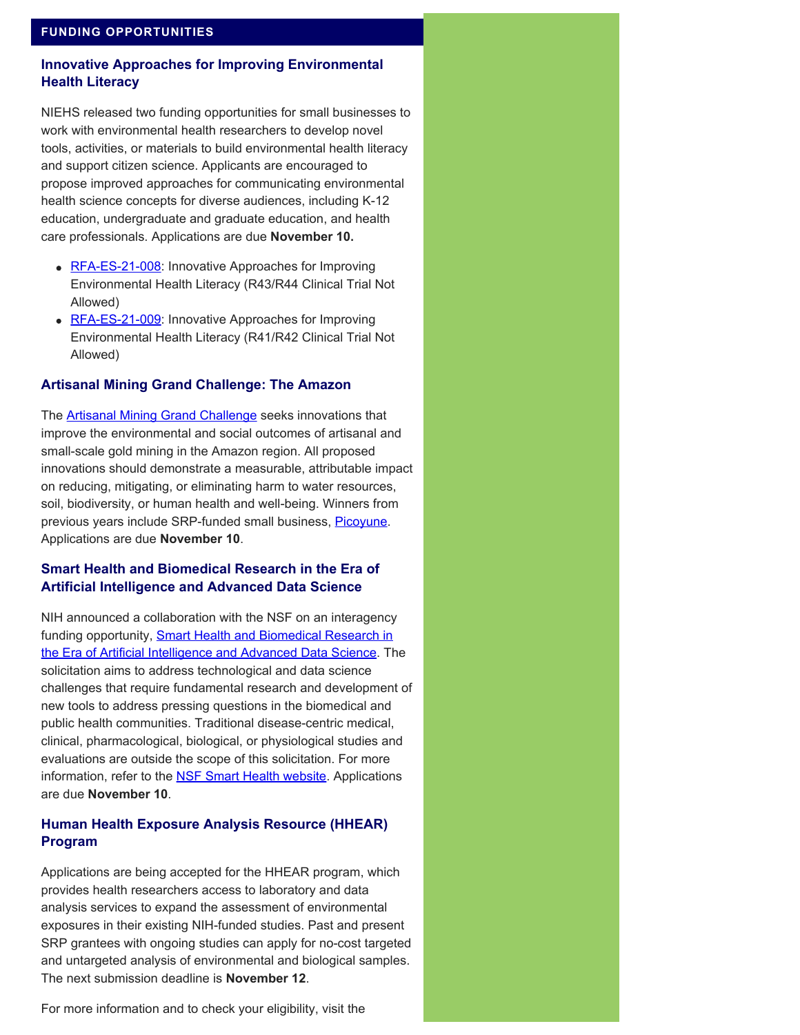## **Innovative Approaches for Improving Environmental Health Literacy**

NIEHS released two funding opportunities for small businesses to work with environmental health researchers to develop novel tools, activities, or materials to build environmental health literacy and support citizen science. Applicants are encouraged to propose improved approaches for communicating environmental health science concepts for diverse audiences, including K-12 education, undergraduate and graduate education, and health care professionals. Applications are due **November 10.** 

- [RFA-ES-21-008](https://grants.nih.gov/grants/guide/rfa-files/RFA-ES-21-008.html): Innovative Approaches for Improving Environmental Health Literacy (R43/R44 Clinical Trial Not Allowed)
- [RFA-ES-21-009](https://grants.nih.gov/grants/guide/rfa-files/rfa-es-21-009.html): Innovative Approaches for Improving Environmental Health Literacy (R41/R42 Clinical Trial Not Allowed)

## **Artisanal Mining Grand Challenge: The Amazon**

The [Artisanal Mining Grand Challenge](https://www.artisanalminingchallenge.com/) seeks innovations that improve the environmental and social outcomes of artisanal and small-scale gold mining in the Amazon region. All proposed innovations should demonstrate a measurable, attributable impact on reducing, mitigating, or eliminating harm to water resources, soil, biodiversity, or human health and well-being. Winners from previous years include SRP-funded small business, [Picoyune](https://www.niehs.nih.gov/research/supported/centers/srp/science_digest/2020/12/technology/index.cfm). Applications are due **November 10**.

## **Smart Health and Biomedical Research in the Era of Artificial Intelligence and Advanced Data Science**

NIH announced a collaboration with the NSF on an interagency funding opportunity, **Smart Health and Biomedical Research in** [the Era of Artificial Intelligence and Advanced Data Science.](https://grants.nih.gov/grants/guide/notice-files/NOT-OD-21-011.html) The solicitation aims to address technological and data science challenges that require fundamental research and development of new tools to address pressing questions in the biomedical and public health communities. Traditional disease-centric medical, clinical, pharmacological, biological, or physiological studies and evaluations are outside the scope of this solicitation. For more information, refer to the **NSF Smart Health website**. Applications are due **November 10**.

## **Human Health Exposure Analysis Resource (HHEAR) Program**

Applications are being accepted for the HHEAR program, which provides health researchers access to laboratory and data analysis services to expand the assessment of environmental exposures in their existing NIH-funded studies. Past and present SRP grantees with ongoing studies can apply for no-cost targeted and untargeted analysis of environmental and biological samples. The next submission deadline is **November 12**.

For more information and to check your eligibility, visit the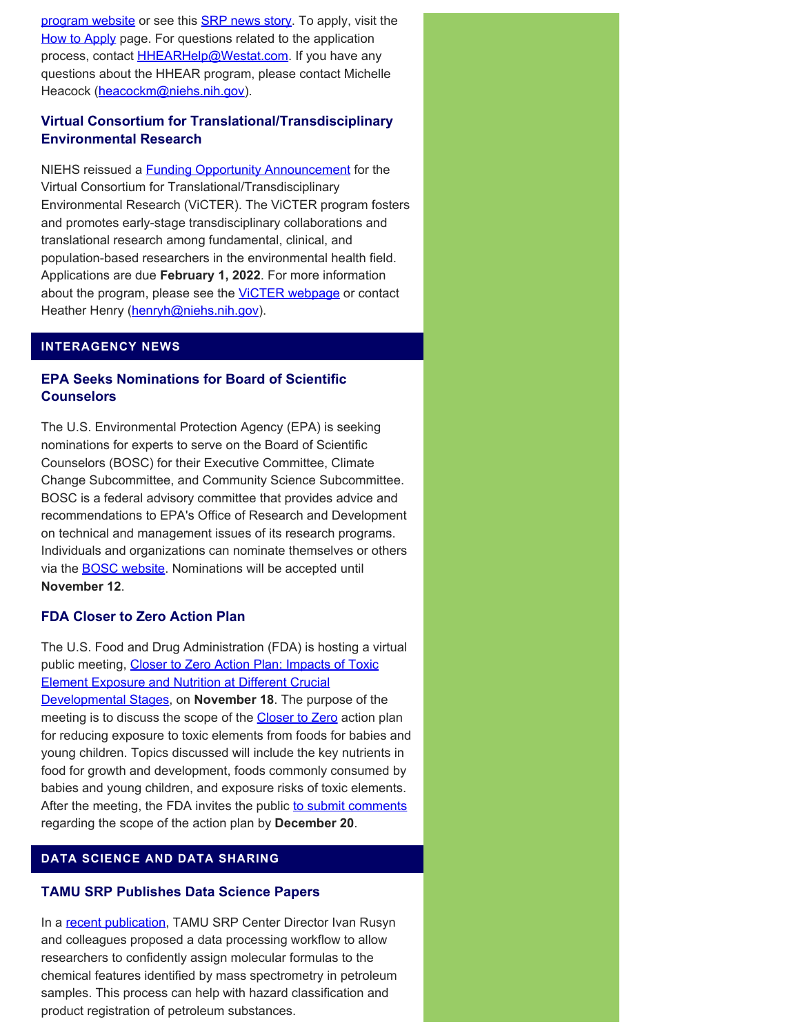[program website](https://hhearprogram.org/) or see this **[SRP news story](https://www.niehs.nih.gov/research/supported/centers/srp/news/2021news/HHEAR/index.cfm)**. To apply, visit the [How to Apply](https://hhearprogram.org/index.php/how-apply) page. For questions related to the application process, contact **HHEARHelp@Westat.com**. If you have any questions about the HHEAR program, please contact Michelle Heacock [\(heacockm@niehs.nih.gov](mailto:heacockm@niehs.nih.gov)).

# **Virtual Consortium for Translational/Transdisciplinary Environmental Research**

NIEHS reissued a **Funding Opportunity Announcement** for the Virtual Consortium for Translational/Transdisciplinary Environmental Research (ViCTER). The ViCTER program fosters and promotes early-stage transdisciplinary collaborations and translational research among fundamental, clinical, and population-based researchers in the environmental health field. Applications are due **February 1, 2022**. For more information about the program, please see the **VICTER webpage** or contact Heather Henry ([henryh@niehs.nih.gov](mailto:henryh@niehs.nih.gov)).

## **INTERAGENCY NEWS**

# **EPA Seeks Nominations for Board of Scientific Counselors**

The U.S. Environmental Protection Agency (EPA) is seeking nominations for experts to serve on the Board of Scientific Counselors (BOSC) for their Executive Committee, Climate Change Subcommittee, and Community Science Subcommittee. BOSC is a federal advisory committee that provides advice and recommendations to EPA's Office of Research and Development on technical and management issues of its research programs. Individuals and organizations can nominate themselves or others via the [BOSC website](https://www.epa.gov/bosc). Nominations will be accepted until **November 12**.

## **FDA Closer to Zero Action Plan**

The U.S. Food and Drug Administration (FDA) is hosting a virtual public meeting, [Closer to Zero Action Plan: Impacts of Toxic](https://www.fda.gov/food/workshops-meetings-webinars-food-and-dietary-supplements/closer-zero-action-plan-impacts-toxic-element-exposure-and-nutrition-different-crucial-developmental)  [Element Exposure and Nutrition at Different Crucial](https://www.fda.gov/food/workshops-meetings-webinars-food-and-dietary-supplements/closer-zero-action-plan-impacts-toxic-element-exposure-and-nutrition-different-crucial-developmental)  [Developmental Stages,](https://www.fda.gov/food/workshops-meetings-webinars-food-and-dietary-supplements/closer-zero-action-plan-impacts-toxic-element-exposure-and-nutrition-different-crucial-developmental) on **November 18**. The purpose of the meeting is to discuss the scope of the **Closer to Zero** action plan for reducing exposure to toxic elements from foods for babies and young children. Topics discussed will include the key nutrients in food for growth and development, foods commonly consumed by babies and young children, and exposure risks of toxic elements. After the meeting, the FDA invites the public [to submit comments](https://www.federalregister.gov/documents/2021/10/12/2021-22109/closer-to-zero-action-plan-impacts-of-toxic-element-exposure-and-nutrition-at-different-crucial) regarding the scope of the action plan by **December 20**.

## **DATA SCIENCE AND DATA SHARING**

## **TAMU SRP Publishes Data Science Papers**

In a [recent publication](https://pubmed.ncbi.nlm.nih.gov/34366560/), TAMU SRP Center Director Ivan Rusyn and colleagues proposed a data processing workflow to allow researchers to confidently assign molecular formulas to the chemical features identified by mass spectrometry in petroleum samples. This process can help with hazard classification and product registration of petroleum substances.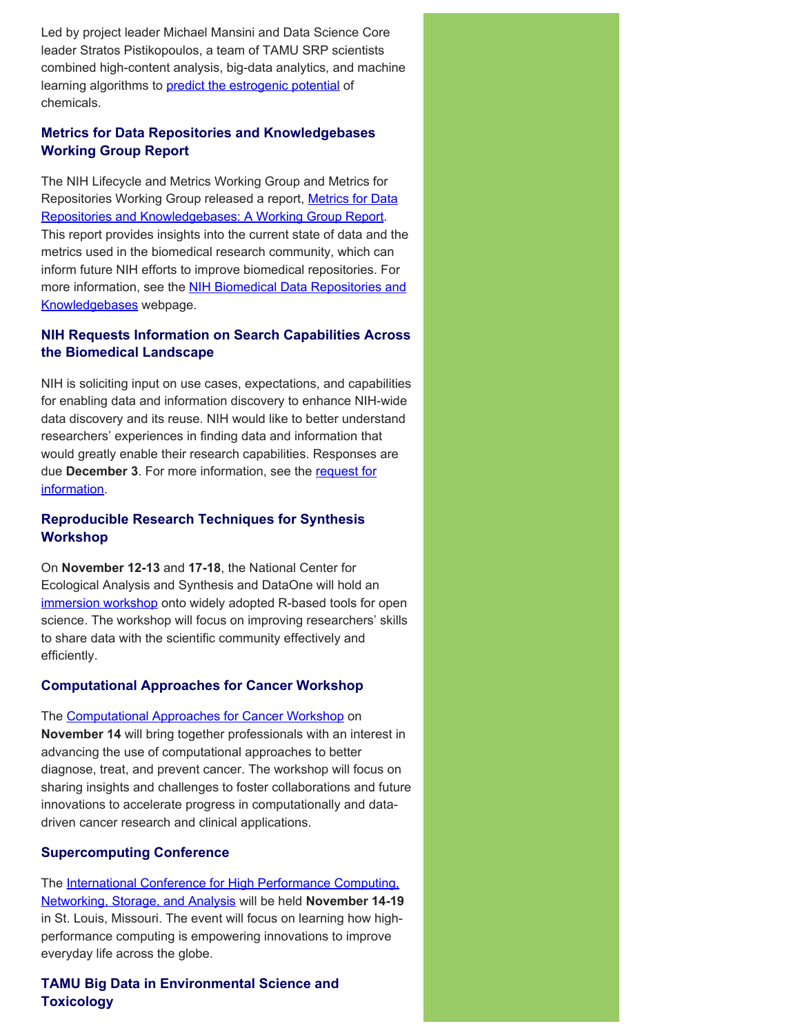Led by project leader Michael Mansini and Data Science Core leader Stratos Pistikopoulos, a team of TAMU SRP scientists combined high-content analysis, big-data analytics, and machine learning algorithms to [predict the estrogenic potential](https://pubmed.ncbi.nlm.nih.gov/34355221/) of chemicals.

# **Metrics for Data Repositories and Knowledgebases Working Group Report**

The NIH Lifecycle and Metrics Working Group and Metrics for Repositories Working Group released a report, [Metrics for Data](https://datascience.nih.gov/sites/default/files/Metrics-Report-2021-Sep15-508.pdf) [Repositories and Knowledgebases: A Working Group Report.](https://datascience.nih.gov/sites/default/files/Metrics-Report-2021-Sep15-508.pdf) This report provides insights into the current state of data and the metrics used in the biomedical research community, which can inform future NIH efforts to improve biomedical repositories. For more information, see the **[NIH Biomedical Data Repositories and](https://datascience.nih.gov/data-ecosystem/biomedical-data-repositories-and-knowledgebases)** [Knowledgebases](https://datascience.nih.gov/data-ecosystem/biomedical-data-repositories-and-knowledgebases) webpage.

# **NIH Requests Information on Search Capabilities Across the Biomedical Landscape**

NIH is soliciting input on use cases, expectations, and capabilities for enabling data and information discovery to enhance NIH-wide data discovery and its reuse. NIH would like to better understand researchers' experiences in finding data and information that would greatly enable their research capabilities. Responses are due **December 3**. For more information, see the [request for](https://grants.nih.gov/grants/guide/notice-files/NOT-OD-21-187.html)  [information.](https://grants.nih.gov/grants/guide/notice-files/NOT-OD-21-187.html)

# **Reproducible Research Techniques for Synthesis Workshop**

On **November 12-13** and **17-18**, the National Center for Ecological Analysis and Synthesis and DataOne will hold an [immersion workshop](https://www.dataone.org/training/#upcoming-training) onto widely adopted R-based tools for open science. The workshop will focus on improving researchers' skills to share data with the scientific community effectively and efficiently.

# **Computational Approaches for Cancer Workshop**

The [Computational Approaches for Cancer Workshop](https://ncihub.org/groups/cafcw/cafcw21) on **November 14** will bring together professionals with an interest in advancing the use of computational approaches to better diagnose, treat, and prevent cancer. The workshop will focus on sharing insights and challenges to foster collaborations and future innovations to accelerate progress in computationally and datadriven cancer research and clinical applications.

# **Supercomputing Conference**

The [International Conference for High Performance Computing,](https://sc21.supercomputing.org/) [Networking, Storage, and Analysis](https://sc21.supercomputing.org/) will be held **November 14-19**  in St. Louis, Missouri. The event will focus on learning how highperformance computing is empowering innovations to improve everyday life across the globe.

**TAMU Big Data in Environmental Science and Toxicology**